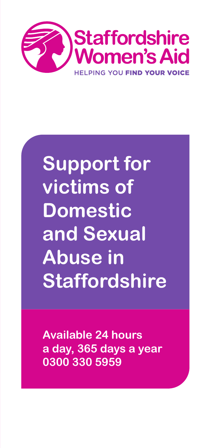

# **Support for victims of Domestic and Sexual Abuse in Staffordshire**

**Available 24 hours a day, 365 days a year 0300 330 5959**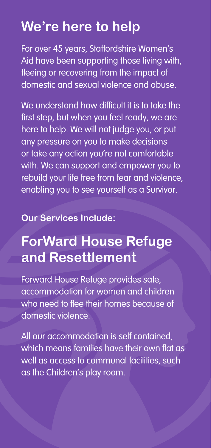## **We're here to help**

For over 45 years, Staffordshire Women's Aid have been supporting those living with, fleeing or recovering from the impact of domestic and sexual violence and abuse.

We understand how difficult it is to take the first step, but when you feel ready, we are here to help. We will not judge you, or put any pressure on you to make decisions or take any action you're not comfortable with. We can support and empower you to rebuild your life free from fear and violence, enabling you to see yourself as a Survivor.

#### **Our Services Include:**

## **ForWard House Refuge and Resettlement**

Forward House Refuge provides safe, accommodation for women and children who need to flee their homes because of domestic violence.

All our accommodation is self contained, which means families have their own flat as well as access to communal facilities, such as the Children's play room.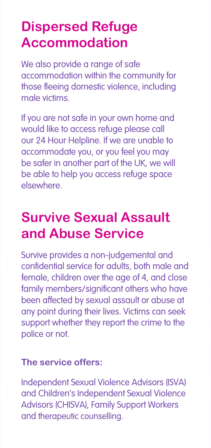# **Dispersed Refuge Accommodation**

We also provide a range of safe accommodation within the community for those fleeing domestic violence, including male victims.

If you are not safe in your own home and would like to access refuge please call our 24 Hour Helpline. If we are unable to accommodate you, or you feel you may be safer in another part of the UK, we will be able to help you access refuge space elsewhere.

# **Survive Sexual Assault and Abuse Service**

Survive provides a non-judgemental and confidential service for adults, both male and female, children over the age of 4, and close family members/significant others who have been affected by sexual assault or abuse at any point during their lives. Victims can seek support whether they report the crime to the police or not.

#### **The service offers:**

Independent Sexual Violence Advisors (ISVA) and Children's Independent Sexual Violence Advisors (CHISVA), Family Support Workers and therapeutic counselling.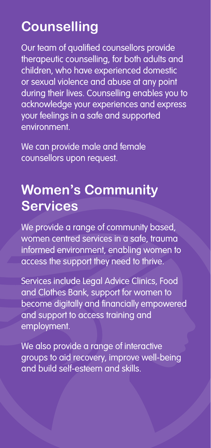# **Counselling**

Our team of qualified counsellors provide therapeutic counselling, for both adults and children, who have experienced domestic or sexual violence and abuse at any point during their lives. Counselling enables you to acknowledge your experiences and express your feelings in a safe and supported environment.

We can provide male and female counsellors upon request.

### **Women's Community Services**

We provide a range of community based, women centred services in a safe, trauma informed environment, enabling women to access the support they need to thrive.

Services include Legal Advice Clinics, Food and Clothes Bank, support for women to become digitally and financially empowered and support to access training and employment.

We also provide a range of interactive groups to aid recovery, improve well-being and build self-esteem and skills.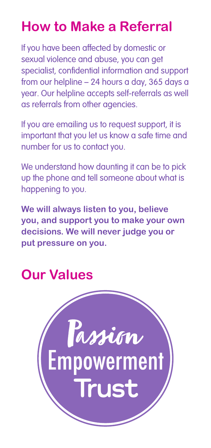# **How to Make a Referral**

If you have been affected by domestic or sexual violence and abuse, you can get specialist, confidential information and support from our helpline – 24 hours a day, 365 days a year. Our helpline accepts self-referrals as well as referrals from other agencies.

If you are emailing us to request support, it is important that you let us know a safe time and number for us to contact you.

We understand how daunting it can be to pick up the phone and tell someone about what is happening to you.

**We will always listen to you, believe you, and support you to make your own decisions. We will never judge you or put pressure on you.**

## **Our Values**